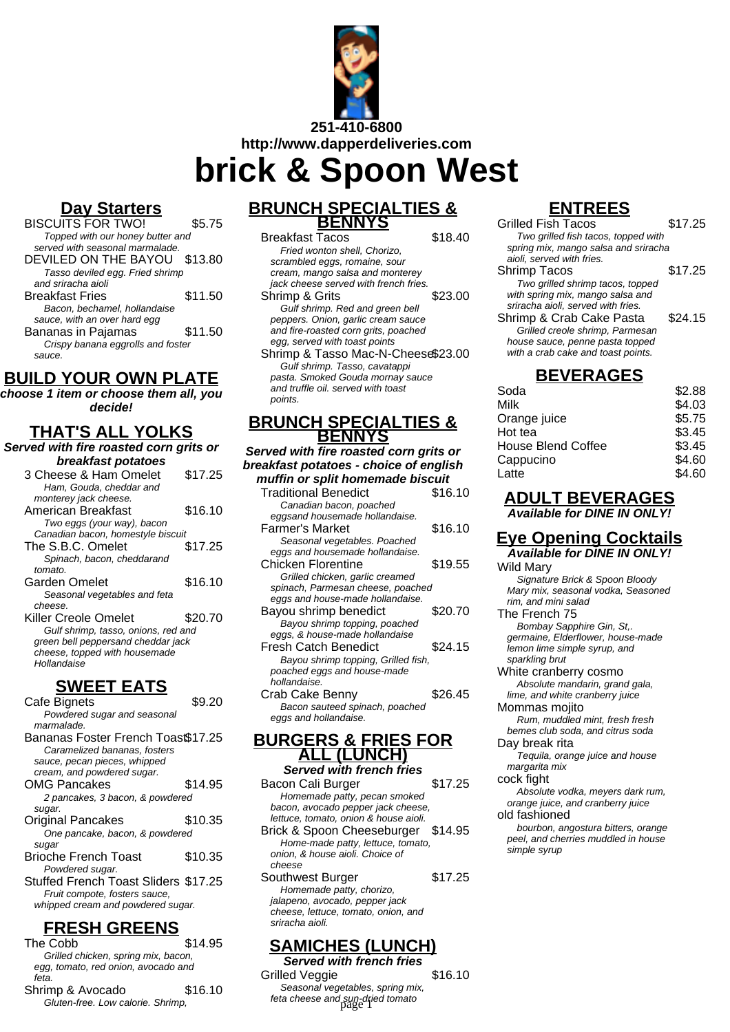

**http://www.dapperdeliveries.com**

**brick & Spoon West**

## **Day Starters**

BISCUITS FOR TWO! \$5.75 Topped with our honey butter and served with seasonal marmalade. DEVILED ON THE BAYOU \$13.80 Tasso deviled egg. Fried shrimp and sriracha aioli Breakfast Fries \$11.50 Bacon, bechamel, hollandaise sauce, with an over hard egg Bananas in Pajamas  $\sim$  \$11.50 Crispy banana eggrolls and foster sauce.

## **BUILD YOUR OWN PLATE**

**choose 1 item or choose them all, you decide!**

## **THAT'S ALL YOLKS**

**Served with fire roasted corn grits or breakfast potatoes**

| 3 Cheese & Ham Omelet               | \$17.25 |
|-------------------------------------|---------|
| Ham, Gouda, cheddar and             |         |
| monterey jack cheese.               |         |
| American Breakfast                  | \$16.10 |
| Two eggs (your way), bacon          |         |
| Canadian bacon, homestyle biscuit   |         |
| The S.B.C. Omelet                   | \$17.25 |
| Spinach, bacon, cheddarand          |         |
| tomato.                             |         |
| Garden Omelet                       | \$16.10 |
| Seasonal vegetables and feta        |         |
| cheese.                             |         |
| <b>Killer Creole Omelet</b>         | \$20.70 |
| Gulf shrimp, tasso, onions, red and |         |
| green bell peppersand cheddar jack  |         |
| cheese, topped with housemade       |         |
| Hollandaise                         |         |
|                                     |         |

### **SWEET EATS**

Cafe Bignets \$9.20 Powdered sugar and seasonal marmalade. Bananas Foster French Toast\$17.25 Caramelized bananas, fosters sauce, pecan pieces, whipped cream, and powdered sugar. OMG Pancakes \$14.95 2 pancakes, 3 bacon, & powdered sugar. Original Pancakes \$10.35 One pancake, bacon, & powdered sugar Brioche French Toast \$10.35 Powdered sugar. Stuffed French Toast Sliders \$17.25 Fruit compote, fosters sauce, whipped cream and powdered sugar.

# **FRESH GREENS**

The Cobb \$14.95 Grilled chicken, spring mix, bacon, egg, tomato, red onion, avocado and feta. Shrimp & Avocado \$16.10 Gluten-free. Low calorie. Shrimp,

## **BRUNCH SPECIALTIES & BENNYS**

Breakfast Tacos \$18.40 Fried wonton shell, Chorizo, scrambled eggs, romaine, sour cream, mango salsa and monterey jack cheese served with french fries. Shrimp & Grits \$23.00 Gulf shrimp. Red and green bell peppers. Onion, garlic cream sauce and fire-roasted corn grits, poached egg, served with toast points Shrimp & Tasso Mac-N-Cheese\$23.00 Gulf shrimp. Tasso, cavatappi pasta. Smoked Gouda mornay sauce and truffle oil. served with toast points.

### **BRUNCH SPECIALTIES & BENNYS**

**Served with fire roasted corn grits or breakfast potatoes - choice of english muffin or split homemade biscuit**

| <b>Traditional Benedict</b>         | \$16.10 |
|-------------------------------------|---------|
| Canadian bacon, poached             |         |
| eggsand housemade hollandaise.      |         |
| Farmer's Market                     | \$16.10 |
| Seasonal vegetables. Poached        |         |
| eggs and housemade hollandaise.     |         |
| <b>Chicken Florentine</b>           | \$19.55 |
| Grilled chicken, garlic creamed     |         |
| spinach, Parmesan cheese, poached   |         |
| eggs and house-made hollandaise.    |         |
| Bayou shrimp benedict               | \$20.70 |
| Bayou shrimp topping, poached       |         |
| eggs, & house-made hollandaise      |         |
| Fresh Catch Benedict                | \$24.15 |
| Bayou shrimp topping, Grilled fish, |         |
| poached eggs and house-made         |         |
| hollandaise.                        |         |
| Crab Cake Benny                     | \$26.45 |
| Bacon sauteed spinach, poached      |         |
| eggs and hollandaise.               |         |
|                                     |         |

#### **BURGERS & FRIES FOR ALL (LUNCH) Served with french fries**

Bacon Cali Burger \$17.25 Homemade patty, pecan smoked bacon, avocado pepper jack cheese, lettuce, tomato, onion & house aioli. Brick & Spoon Cheeseburger \$14.95 Home-made patty, lettuce, tomato, onion, & house aioli. Choice of cheese Southwest Burger \$17.25 Homemade patty, chorizo, jalapeno, avocado, pepper jack cheese, lettuce, tomato, onion, and sriracha aioli.

# **SAMICHES (LUNCH)**

**Served with french fries** Grilled Veggie **\$16.10** Seasonal vegetables, spring mix, feta cheese and sun-dried tomato page 1

# **ENTREES**

| \$17.25                              |
|--------------------------------------|
| Two grilled fish tacos, topped with  |
| spring mix, mango salsa and sriracha |
|                                      |
| \$17.25                              |
|                                      |
|                                      |
|                                      |
| \$24.15                              |
|                                      |
|                                      |
|                                      |
|                                      |

# **BEVERAGES**

| Soda                      | \$2.88 |
|---------------------------|--------|
| Milk                      | \$4.03 |
| Orange juice              | \$5.75 |
| Hot tea                   | \$3.45 |
| <b>House Blend Coffee</b> | \$3.45 |
| Cappucino                 | \$4.60 |
| Latte                     | \$4.60 |
|                           |        |

### **ADULT BEVERAGES Available for DINE IN ONLY!**

### **Eye Opening Cocktails Available for DINE IN ONLY!**

Wild Mary Signature Brick & Spoon Bloody Mary mix, seasonal vodka, Seasoned rim, and mini salad The French 75

Bombay Sapphire Gin, St,. germaine, Elderflower, house-made lemon lime simple syrup, and sparkling brut

White cranberry cosmo Absolute mandarin, grand gala, lime, and white cranberry juice

Mommas mojito Rum, muddled mint, fresh fresh

bemes club soda, and citrus soda

Day break rita Tequila, orange juice and house

margarita mix

cock fight Absolute vodka, meyers dark rum,

orange juice, and cranberry juice old fashioned

bourbon, angostura bitters, orange peel, and cherries muddled in house simple syrup